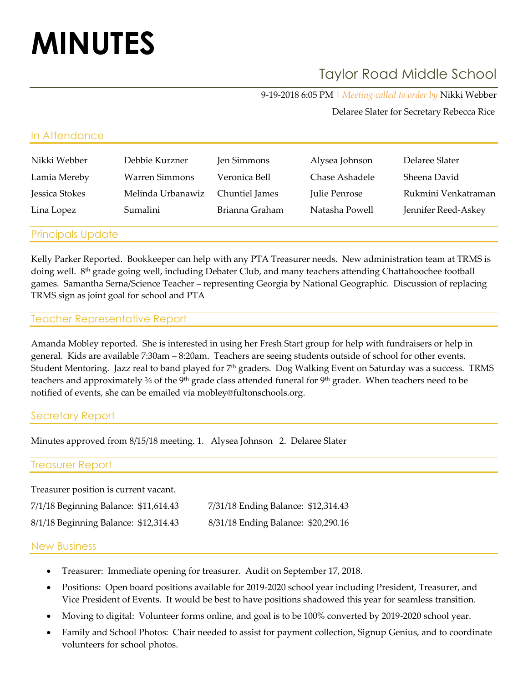# **MINUTES**

In Attendance

## Taylor Road Middle School

9-19-2018 6:05 PM | *Meeting called to order by* Nikki Webber

Delaree Slater for Secretary Rebecca Rice

| Nikki Webber             | Debbie Kurzner    | Jen Simmons    | Alysea Johnson | Delaree Slater      |
|--------------------------|-------------------|----------------|----------------|---------------------|
| Lamia Mereby             | Warren Simmons    | Veronica Bell  | Chase Ashadele | Sheena David        |
| Jessica Stokes           | Melinda Urbanawiz | Chuntiel James | Julie Penrose  | Rukmini Venkatraman |
| Lina Lopez               | Sumalini          | Brianna Graham | Natasha Powell | Jennifer Reed-Askey |
| <b>Principals Update</b> |                   |                |                |                     |

Kelly Parker Reported. Bookkeeper can help with any PTA Treasurer needs. New administration team at TRMS is doing well. 8th grade going well, including Debater Club, and many teachers attending Chattahoochee football games. Samantha Serna/Science Teacher – representing Georgia by National Geographic. Discussion of replacing TRMS sign as joint goal for school and PTA

### Teacher Representative Report

Amanda Mobley reported. She is interested in using her Fresh Start group for help with fundraisers or help in general. Kids are available 7:30am – 8:20am. Teachers are seeing students outside of school for other events. Student Mentoring. Jazz real to band played for 7<sup>th</sup> graders. Dog Walking Event on Saturday was a success. TRMS teachers and approximately 3/4 of the 9<sup>th</sup> grade class attended funeral for 9<sup>th</sup> grader. When teachers need to be notified of events, she can be emailed via mobley@fultonschools.org.

### Secretary Report

Minutes approved from 8/15/18 meeting. 1. Alysea Johnson 2. Delaree Slater

#### Treasurer Report

Treasurer position is current vacant.

| 7/1/18 Beginning Balance: \$11,614.43 | 7/31/18 Ending Balance: \$12,314.43 |
|---------------------------------------|-------------------------------------|
| 8/1/18 Beginning Balance: \$12,314.43 | 8/31/18 Ending Balance: \$20,290.16 |

#### New Business

- Treasurer: Immediate opening for treasurer. Audit on September 17, 2018.
- Positions: Open board positions available for 2019-2020 school year including President, Treasurer, and Vice President of Events. It would be best to have positions shadowed this year for seamless transition.
- Moving to digital: Volunteer forms online, and goal is to be 100% converted by 2019-2020 school year.
- Family and School Photos: Chair needed to assist for payment collection, Signup Genius, and to coordinate volunteers for school photos.